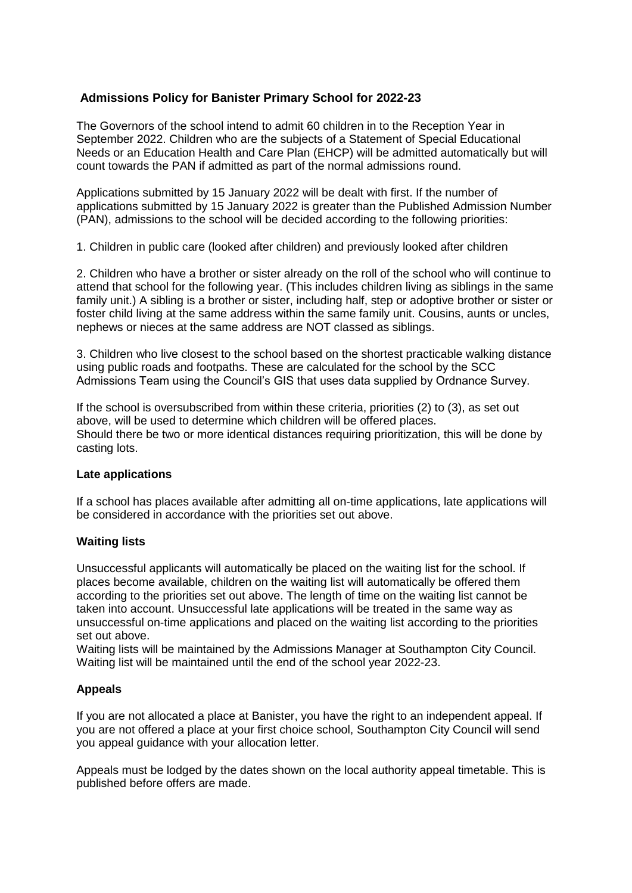# **Admissions Policy for Banister Primary School for 2022-23**

The Governors of the school intend to admit 60 children in to the Reception Year in September 2022. Children who are the subjects of a Statement of Special Educational Needs or an Education Health and Care Plan (EHCP) will be admitted automatically but will count towards the PAN if admitted as part of the normal admissions round.

Applications submitted by 15 January 2022 will be dealt with first. If the number of applications submitted by 15 January 2022 is greater than the Published Admission Number (PAN), admissions to the school will be decided according to the following priorities:

1. Children in public care (looked after children) and previously looked after children

2. Children who have a brother or sister already on the roll of the school who will continue to attend that school for the following year. (This includes children living as siblings in the same family unit.) A sibling is a brother or sister, including half, step or adoptive brother or sister or foster child living at the same address within the same family unit. Cousins, aunts or uncles, nephews or nieces at the same address are NOT classed as siblings.

3. Children who live closest to the school based on the shortest practicable walking distance using public roads and footpaths. These are calculated for the school by the SCC Admissions Team using the Council's GIS that uses data supplied by Ordnance Survey.

If the school is oversubscribed from within these criteria, priorities (2) to (3), as set out above, will be used to determine which children will be offered places. Should there be two or more identical distances requiring prioritization, this will be done by casting lots.

### **Late applications**

If a school has places available after admitting all on-time applications, late applications will be considered in accordance with the priorities set out above.

#### **Waiting lists**

Unsuccessful applicants will automatically be placed on the waiting list for the school. If places become available, children on the waiting list will automatically be offered them according to the priorities set out above. The length of time on the waiting list cannot be taken into account. Unsuccessful late applications will be treated in the same way as unsuccessful on-time applications and placed on the waiting list according to the priorities set out above.

Waiting lists will be maintained by the Admissions Manager at Southampton City Council. Waiting list will be maintained until the end of the school year 2022-23.

### **Appeals**

If you are not allocated a place at Banister, you have the right to an independent appeal. If you are not offered a place at your first choice school, Southampton City Council will send you appeal guidance with your allocation letter.

Appeals must be lodged by the dates shown on the local authority appeal timetable. This is published before offers are made.